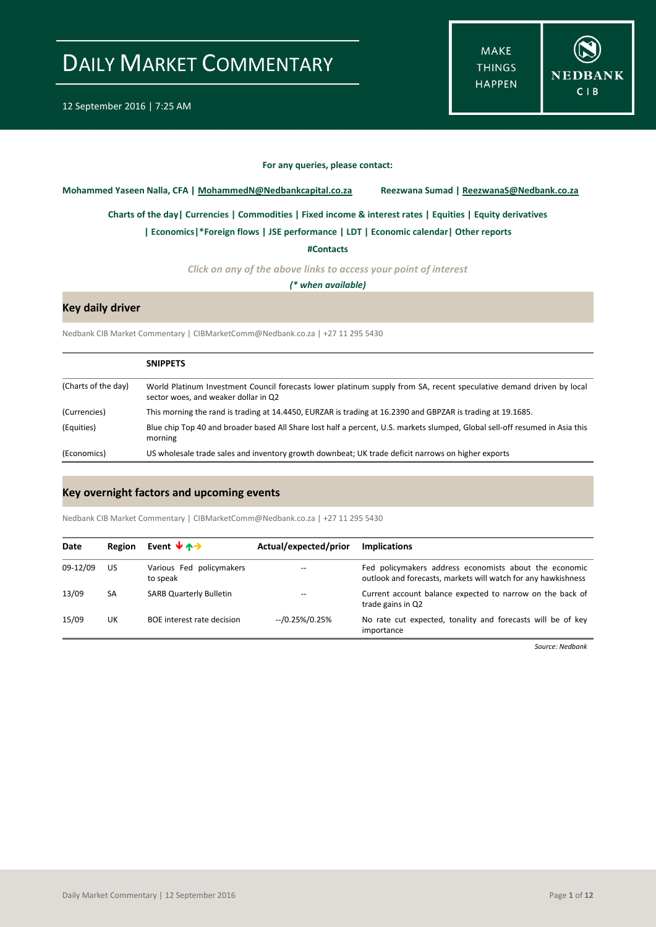**MAKE THINGS HAPPEN** 



#### **For any queries, please contact:**

<span id="page-0-0"></span>**Mohammed Yaseen Nalla, CFA | MohammedN@Nedbankcapital.co.za Reezwana Sumad | ReezwanaS@Nedbank.co.za**

**[Charts of the day|](#page-1-0) [Currencies](#page-2-0) [| Commodities](#page-3-0) | [Fixed income & interest rates](#page-4-0) [| Equities](#page-5-0) | Equity derivatives**

**[| Economics|](#page-6-0)\*Foreign flows | [JSE performance](#page-7-0) [| LDT](#page-8-0) [| Economic calendar|](#page-9-0) Other reports** 

**[#Contacts](#page-10-0)**

*Click on any of the above links to access your point of interest*

*(\* when available)*

### **Key daily driver**

Nedbank CIB Market Commentary | CIBMarketComm@Nedbank.co.za | +27 11 295 5430

|                     | <b>SNIPPETS</b>                                                                                                                                              |
|---------------------|--------------------------------------------------------------------------------------------------------------------------------------------------------------|
| (Charts of the day) | World Platinum Investment Council forecasts lower platinum supply from SA, recent speculative demand driven by local<br>sector woes, and weaker dollar in Q2 |
| (Currencies)        | This morning the rand is trading at 14.4450, EURZAR is trading at 16.2390 and GBPZAR is trading at 19.1685.                                                  |
| (Equities)          | Blue chip Top 40 and broader based All Share lost half a percent, U.S. markets slumped, Global sell-off resumed in Asia this<br>morning                      |
| (Economics)         | US wholesale trade sales and inventory growth downbeat; UK trade deficit narrows on higher exports                                                           |

### **Key overnight factors and upcoming events**

Nedbank CIB Market Commentary | CIBMarketComm@Nedbank.co.za | +27 11 295 5430

| Date     | Region | Event $\forall$ $\land \rightarrow$  | Actual/expected/prior | <b>Implications</b>                                                                                                     |
|----------|--------|--------------------------------------|-----------------------|-------------------------------------------------------------------------------------------------------------------------|
| 09-12/09 | US     | Various Fed policymakers<br>to speak | --                    | Fed policymakers address economists about the economic<br>outlook and forecasts, markets will watch for any hawkishness |
| 13/09    | SA     | <b>SARB Quarterly Bulletin</b>       |                       | Current account balance expected to narrow on the back of<br>trade gains in Q2                                          |
| 15/09    | UK     | BOE interest rate decision           | $-70.25\%/0.25\%$     | No rate cut expected, tonality and forecasts will be of key<br>importance                                               |

*Source: Nedbank*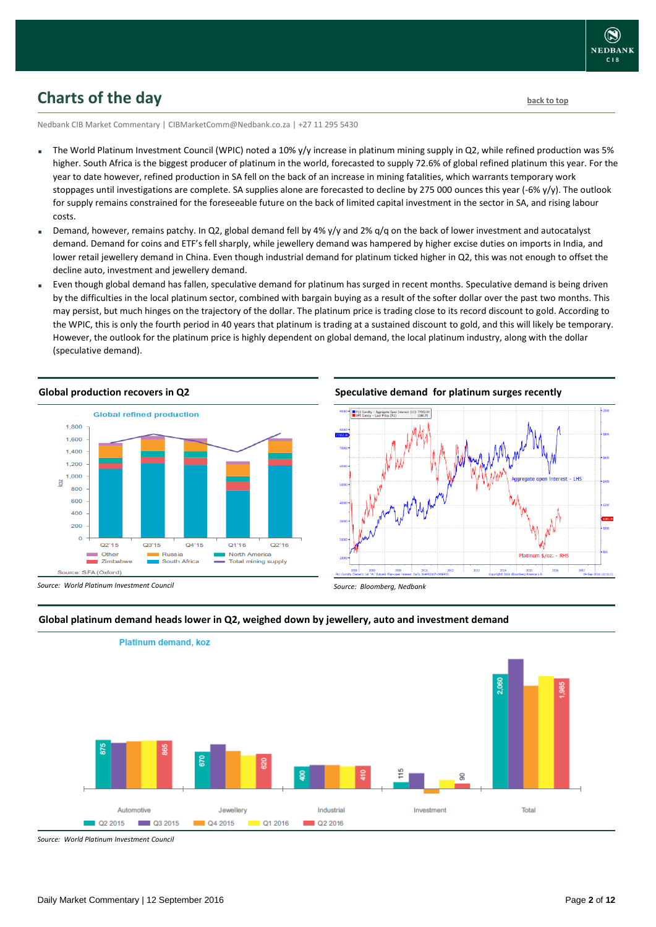

## <span id="page-1-0"></span>**Charts of the day** [back to top](#page-0-0) **back to top**

Nedbank CIB Market Commentary | CIBMarketComm@Nedbank.co.za | +27 11 295 5430

- The World Platinum Investment Council (WPIC) noted a 10% y/y increase in platinum mining supply in Q2, while refined production was 5% higher. South Africa is the biggest producer of platinum in the world, forecasted to supply 72.6% of global refined platinum this year. For the year to date however, refined production in SA fell on the back of an increase in mining fatalities, which warrants temporary work stoppages until investigations are complete. SA supplies alone are forecasted to decline by 275 000 ounces this year (-6% y/y). The outlook for supply remains constrained for the foreseeable future on the back of limited capital investment in the sector in SA, and rising labour costs.
- Demand, however, remains patchy. In Q2, global demand fell by 4% y/y and 2% q/q on the back of lower investment and autocatalyst demand. Demand for coins and ETF's fell sharply, while jewellery demand was hampered by higher excise duties on imports in India, and lower retail jewellery demand in China. Even though industrial demand for platinum ticked higher in Q2, this was not enough to offset the decline auto, investment and jewellery demand.
- Even though global demand has fallen, speculative demand for platinum has surged in recent months. Speculative demand is being driven by the difficulties in the local platinum sector, combined with bargain buying as a result of the softer dollar over the past two months. This may persist, but much hinges on the trajectory of the dollar. The platinum price is trading close to its record discount to gold. According to the WPIC, this is only the fourth period in 40 years that platinum is trading at a sustained discount to gold, and this will likely be temporary. However, the outlook for the platinum price is highly dependent on global demand, the local platinum industry, along with the dollar (speculative demand).





#### **Global platinum demand heads lower in Q2, weighed down by jewellery, auto and investment demand**

*Source: World Platinum Investment Council*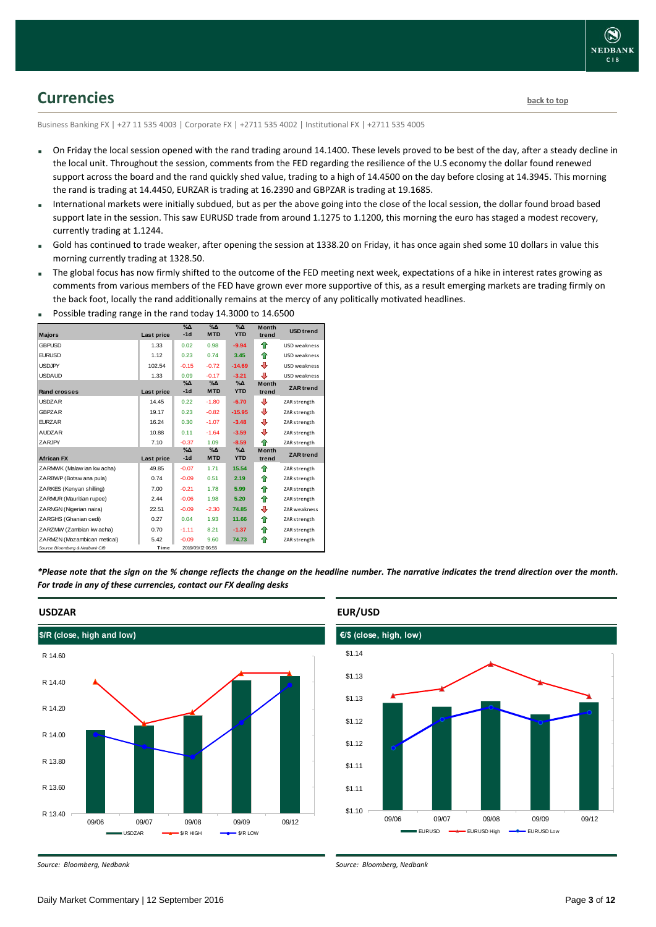## <span id="page-2-0"></span>**Currencies [back to top](#page-0-0)**

Business Banking FX | +27 11 535 4003 | Corporate FX | +2711 535 4002 | Institutional FX | +2711 535 4005

- On Friday the local session opened with the rand trading around 14.1400. These levels proved to be best of the day, after a steady decline in the local unit. Throughout the session, comments from the FED regarding the resilience of the U.S economy the dollar found renewed support across the board and the rand quickly shed value, trading to a high of 14.4500 on the day before closing at 14.3945. This morning the rand is trading at 14.4450, EURZAR is trading at 16.2390 and GBPZAR is trading at 19.1685.
- International markets were initially subdued, but as per the above going into the close of the local session, the dollar found broad based support late in the session. This saw EURUSD trade from around 1.1275 to 1.1200, this morning the euro has staged a modest recovery, currently trading at 1.1244.
- Gold has continued to trade weaker, after opening the session at 1338.20 on Friday, it has once again shed some 10 dollars in value this morning currently trading at 1328.50.
- The global focus has now firmly shifted to the outcome of the FED meeting next week, expectations of a hike in interest rates growing as comments from various members of the FED have grown ever more supportive of this, as a result emerging markets are trading firmly on the back foot, locally the rand additionally remains at the mercy of any politically motivated headlines.

| <b>Majors</b>                   | Last price | $\%$ $\Delta$<br>$-1d$ | $\sqrt{\Delta}$<br><b>MTD</b> | $\%$ $\Delta$<br><b>YTD</b> | <b>Month</b><br>trend | <b>USD</b> trend |
|---------------------------------|------------|------------------------|-------------------------------|-----------------------------|-----------------------|------------------|
| <b>GBPUSD</b>                   | 1.33       | 0.02                   | 0.98                          | $-9.94$                     | ⇑                     | USD weakness     |
| <b>EURUSD</b>                   | 1.12       | 0.23                   | 0.74                          | 3.45                        | 合                     | USD weakness     |
| <b>USDJPY</b>                   | 102.54     | $-0.15$                | $-0.72$                       | $-14.69$                    | ⊕                     | USD weakness     |
| <b>USDAUD</b>                   | 1.33       | 0.09                   | $-0.17$                       | $-3.21$                     | ⊕                     | USD weakness     |
| Rand crosses                    | Last price | $\%$ $\Delta$<br>$-1d$ | $\% \Delta$<br><b>MTD</b>     | $\%$ $\Delta$<br><b>YTD</b> | <b>Month</b><br>trend | <b>ZAR</b> trend |
| <b>USDZAR</b>                   | 14.45      | 0.22                   | $-1.80$                       | $-6.70$                     | ⊕                     | ZAR strength     |
| <b>GBPZAR</b>                   | 19.17      | 0.23                   | $-0.82$                       | $-15.95$                    | ⊕                     | ZAR strength     |
| <b>EURZAR</b>                   | 16.24      | 0.30                   | $-1.07$                       | $-3.48$                     | ⊕                     | ZAR strength     |
| <b>AUDZAR</b>                   | 10.88      | 0.11                   | $-1.64$                       | $-3.59$                     | ⊕                     | ZAR strength     |
| ZARJPY                          | 7.10       | $-0.37$                | 1.09                          | $-8.59$                     | 合                     | ZAR strength     |
| <b>African FX</b>               | Last price | $\%$ $\Delta$<br>$-1d$ | $\%$ $\Delta$<br><b>MTD</b>   | $\%$ $\Delta$<br><b>YTD</b> | <b>Month</b><br>trend | <b>ZAR</b> trend |
| ZARMWK (Malaw ian kw acha)      | 49.85      | $-0.07$                | 1.71                          | 15.54                       | ⇑                     | ZAR strength     |
| ZARBWP (Botsw ana pula)         | 0.74       | $-0.09$                | 0.51                          | 2.19                        | ⇑                     | ZAR strength     |
| ZARKES (Kenyan shilling)        | 7.00       | $-0.21$                | 1.78                          | 5.99                        | ⇑                     | ZAR strength     |
| ZARMUR (Mauritian rupee)        | 2.44       | $-0.06$                | 1.98                          | 5.20                        | ⇑                     | ZAR strength     |
| ZARNGN (Nigerian naira)         | 22.51      | $-0.09$                | $-2.30$                       | 74.85                       | ⊕                     | ZAR weakness     |
| ZARGHS (Ghanian cedi)           | 0.27       | 0.04                   | 1.93                          | 11.66                       | ⇑                     | ZAR strength     |
| ZARZMW (Zambian kw acha)        | 0.70       | $-1.11$                | 8.21                          | $-1.37$                     | ⇑                     | ZAR strength     |
| ZARMZN (Mozambican metical)     | 5.42       | $-0.09$                | 9.60                          | 74.73                       | ⇑                     | ZAR strength     |
| Source: Bloomberg & Nedbank CIB | Time       |                        | 2016/09/12 06:55              |                             |                       |                  |

Possible trading range in the rand today 14.3000 to 14.6500

*\*Please note that the sign on the % change reflects the change on the headline number. The narrative indicates the trend direction over the month. For trade in any of these currencies, contact our FX dealing desks*



*Source: Bloomberg, Nedbank*

### **EUR/USD**



*Source: Bloomberg, Nedbank*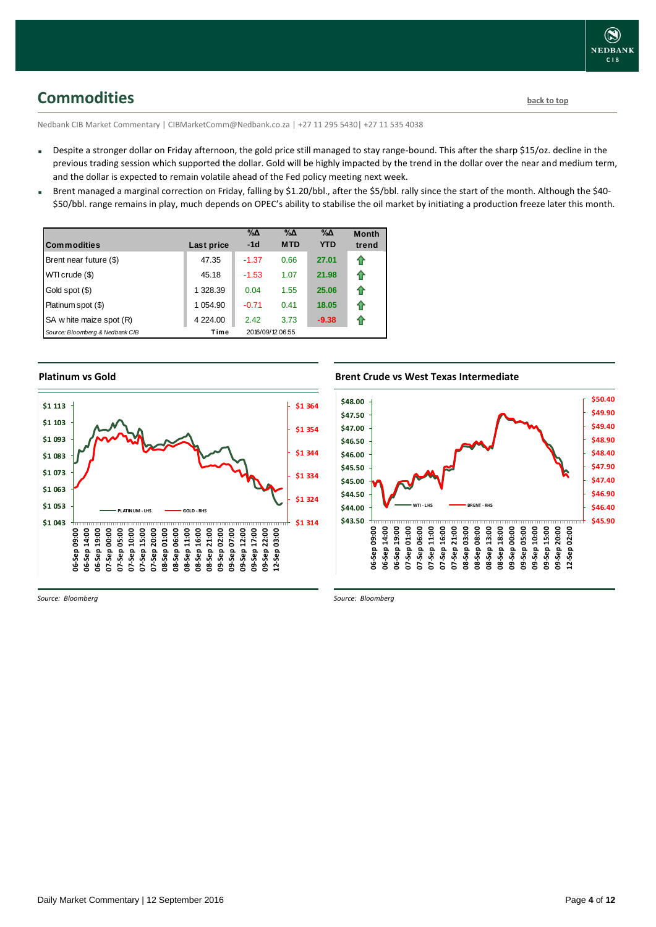## <span id="page-3-0"></span>**Commodities [back to top](#page-0-0)**

Nedbank CIB Market Commentary | CIBMarketComm@Nedbank.co.za | +27 11 295 5430| +27 11 535 4038

- Despite a stronger dollar on Friday afternoon, the gold price still managed to stay range-bound. This after the sharp \$15/oz. decline in the previous trading session which supported the dollar. Gold will be highly impacted by the trend in the dollar over the near and medium term, and the dollar is expected to remain volatile ahead of the Fed policy meeting next week.
- Brent managed a marginal correction on Friday, falling by \$1.20/bbl., after the \$5/bbl. rally since the start of the month. Although the \$40-\$50/bbl. range remains in play, much depends on OPEC's ability to stabilise the oil market by initiating a production freeze later this month.

| Commodities                     | Last price  | $\% \Delta$<br>$-1d$ | %Δ<br><b>MTD</b> | %Δ<br><b>YTD</b> | <b>Month</b><br>trend |
|---------------------------------|-------------|----------------------|------------------|------------------|-----------------------|
| Brent near future (\$)          | 47.35       | $-1.37$              | 0.66             | 27.01            | f                     |
| WTI crude (\$)                  | 45.18       | $-1.53$              | 1.07             | 21.98            | ⇑                     |
| Gold spot (\$)                  | 1 328.39    | 0.04                 | 1.55             | 25.06            | ⇑                     |
| Platinum spot (\$)              | 1 054.90    | $-0.71$              | 0.41             | 18.05            | ⇑                     |
| SA w hite maize spot (R)        | 4 2 2 4 .00 | 2.42                 | 3.73             | $-9.38$          | n                     |
| Source: Bloomberg & Nedbank CIB | Time        |                      | 2016/09/12 06:55 |                  |                       |

#### **Platinum vs Gold**



#### **Brent Crude vs West Texas Intermediate**



*Source: Bloomberg*

*Source: Bloomberg*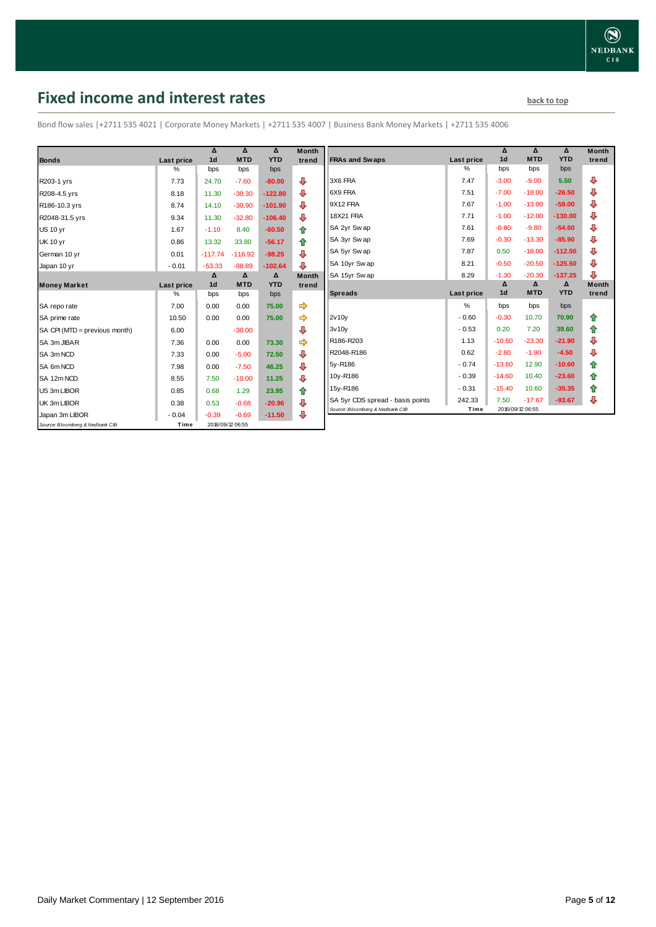## <span id="page-4-0"></span>**Fixed income and interest rates back to the line of the set of the set of the set of the set of the set of the set of the set of the set of the set of the set of the set of the set of the set of the set of the set of th**

Bond flow sales |+2711 535 4021 | Corporate Money Markets | +2711 535 4007 | Business Bank Money Markets | +2711 535 4006

|                                 |                 | Δ<br>1 <sub>d</sub> | Δ<br><b>MTD</b>  | Δ<br><b>YTD</b> | <b>Month</b> |
|---------------------------------|-----------------|---------------------|------------------|-----------------|--------------|
| <b>Bonds</b>                    | Last price<br>% |                     |                  |                 | trend        |
|                                 |                 | bps                 | bps              | bps             |              |
| R203-1 yrs                      | 7.73            | 24.70               | $-7.60$          | $-80.00$        | ⊕            |
| R208-4.5 yrs                    | 8.18            | 11.30               | $-30.30$         | $-122.80$       | ⊕            |
| R186-10.3 yrs                   | 8.74            | 14.10               | $-30.90$         | $-101.90$       | ⊕            |
| R2048-31.5 yrs                  | 9.34            | 11.30               | $-32.80$         | $-106.40$       | ⊕            |
| <b>US 10 yr</b>                 | 1.67            | $-1.10$             | 8.40             | $-60.50$        | 合            |
| <b>UK 10 yr</b>                 | 0.86            | 13.32               | 33.80            | $-56.17$        | ⇑            |
| German 10 yr                    | 0.01            | $-117.74$           | $-116.92$        | $-98.25$        | ⊕            |
| Japan 10 yr                     | $-0.01$         | $-53.33$            | $-88.89$         | $-102.64$       | ⊕            |
|                                 |                 | Δ                   | Δ                | Δ               | <b>Month</b> |
| <b>Money Market</b>             | Last price      | 1 <sub>d</sub>      | <b>MTD</b>       | <b>YTD</b>      | trend        |
|                                 | $\%$            | bps                 | bps              | bps             |              |
| SA repo rate                    | 7.00            | 0.00                | 0.00             | 75.00           | ⇨            |
| SA prime rate                   | 10.50           | 0.00                | 0.00             | 75.00           | ⇨            |
| SA CPI (MTD = previous month)   | 6.00            |                     | $-30.00$         |                 | ⊕            |
| SA 3m JIBAR                     | 7.36            | 0.00                | 0.00             | 73.30           |              |
| SA 3m NCD                       | 7.33            | 0.00                | $-5.00$          | 72.50           | ⊕            |
| SA 6m NCD                       | 7.98            | 0.00                | $-7.50$          | 46.25           | ⇩            |
| SA 12m NCD                      | 8.55            | 7.50                | $-10.00$         | 11.25           | ⊕            |
| US 3m LIBOR                     | 0.85            | 0.68                | 1.29             | 23.95           | ✿            |
| UK 3m LIBOR                     | 0.38            | 0.53                | $-0.68$          | $-20.96$        | ⊕            |
| Japan 3m LIBOR                  | $-0.04$         | $-0.39$             | $-0.69$          | $-11.50$        | ⊕            |
| Source: Bloomberg & Nedbank CIB | Time            |                     | 2016/09/12 06:55 |                 |              |

| Month<br>trend | <b>FRAs and Swaps</b>            | <b>Last price</b> | Δ<br>1 <sub>d</sub> | Δ<br><b>MTD</b> | Δ<br><b>YTD</b> | <b>Month</b><br>trend |
|----------------|----------------------------------|-------------------|---------------------|-----------------|-----------------|-----------------------|
|                |                                  | $\%$              | bps                 | bps             | bps             |                       |
| ⊕              | 3X6 FRA                          | 7.47              | $-3.00$             | $-9.00$         | 5.50            | ⊕                     |
| ⊕              | 6X9 FRA                          | 7.51              | $-7.00$             | $-18.00$        | $-26.50$        | ⊕                     |
| ⊕              | 9X12 FRA                         | 7.67              | $-1.00$             | $-13.00$        | $-58.00$        | ⊕                     |
| ⊕              | 18X21 FRA                        | 7.71              | $-1.00$             | $-12.00$        | $-130.00$       | ⊕                     |
| 合              | SA 2yr Swap                      | 7.61              | $-0.80$             | $-9.80$         | $-54.60$        | ⊕                     |
| ⇮              | SA 3yr Swap                      | 7.69              | $-0.30$             | $-13.30$        | $-85.90$        | ⊕                     |
| ⊕              | SA 5yr Swap                      | 7.87              | 0.50                | $-18.00$        | $-112.50$       | ⊕                     |
| ⊕              | SA 10yr Swap                     | 8.21              | $-0.50$             | $-20.50$        | $-125.50$       | ⊕                     |
| Month          | SA 15yr Swap                     | 8.29              | $-1.30$             | $-20.30$        | $-137.25$       | ⊕                     |
|                |                                  |                   |                     |                 |                 |                       |
| trend          |                                  |                   | Δ                   | Δ               | Δ               | <b>Month</b>          |
|                | <b>Spreads</b>                   | Last price        | 1 <sub>d</sub>      | <b>MTD</b>      | <b>YTD</b>      | trend                 |
|                |                                  | $\frac{9}{6}$     | bps                 | bps             | bps             |                       |
| ⇛<br>⇛         | 2v10v                            | $-0.60$           | $-0.30$             | 10.70           | 70.90           | ⇑                     |
| ⊕              | 3v10v                            | $-0.53$           | 0.20                | 7.20            | 39.60           | ⇑                     |
| ⇛              | R186-R203                        | 1.13              | $-10.60$            | $-23.30$        | $-21.90$        | ⊕                     |
|                | R2048-R186                       | 0.62              | $-2.80$             | $-1.90$         | $-4.50$         | ⊕                     |
| ⊕              | 5y-R186                          | $-0.74$           | $-13.60$            | 12.90           | $-10.60$        | ✿                     |
| ⊕              | 10y-R186                         | $-0.39$           | $-14.60$            | 10.40           | $-23.60$        | 合                     |
| ⊕              | 15y-R186                         | $-0.31$           | $-15.40$            | 10.60           | $-35.35$        | 合                     |
| ⇮<br>⊕         | SA 5yr CDS spread - basis points | 242.33            | 7.50                | $-17.67$        | $-93.67$        | ⊕                     |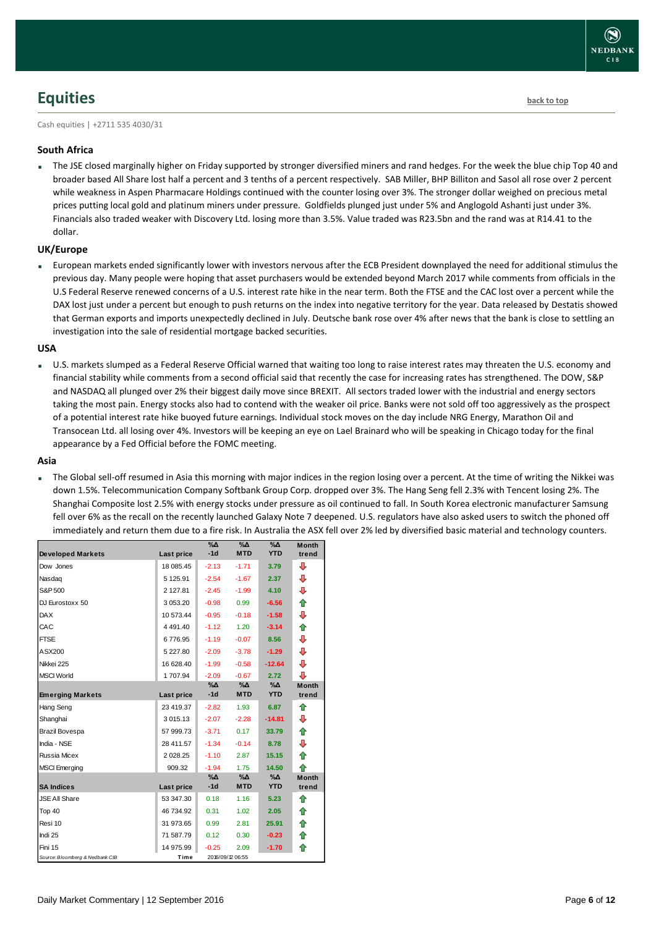## <span id="page-5-0"></span>**Equities [back to top](#page-0-0)**

Cash equities | +2711 535 4030/31

#### **South Africa**

 The JSE closed marginally higher on Friday supported by stronger diversified miners and rand hedges. For the week the blue chip Top 40 and broader based All Share lost half a percent and 3 tenths of a percent respectively. SAB Miller, BHP Billiton and Sasol all rose over 2 percent while weakness in Aspen Pharmacare Holdings continued with the counter losing over 3%. The stronger dollar weighed on precious metal prices putting local gold and platinum miners under pressure. Goldfields plunged just under 5% and Anglogold Ashanti just under 3%. Financials also traded weaker with Discovery Ltd. losing more than 3.5%. Value traded was R23.5bn and the rand was at R14.41 to the dollar.

#### **UK/Europe**

 European markets ended significantly lower with investors nervous after the ECB President downplayed the need for additional stimulus the previous day. Many people were hoping that asset purchasers would be extended beyond March 2017 while comments from officials in the U.S Federal Reserve renewed concerns of a U.S. interest rate hike in the near term. Both the FTSE and the CAC lost over a percent while the DAX lost just under a percent but enough to push returns on the index into negative territory for the year. Data released by Destatis showed that German exports and imports unexpectedly declined in July. Deutsche bank rose over 4% after news that the bank is close to settling an investigation into the sale of residential mortgage backed securities.

#### **USA**

 U.S. markets slumped as a Federal Reserve Official warned that waiting too long to raise interest rates may threaten the U.S. economy and financial stability while comments from a second official said that recently the case for increasing rates has strengthened. The DOW, S&P and NASDAQ all plunged over 2% their biggest daily move since BREXIT. All sectors traded lower with the industrial and energy sectors taking the most pain. Energy stocks also had to contend with the weaker oil price. Banks were not sold off too aggressively as the prospect of a potential interest rate hike buoyed future earnings. Individual stock moves on the day include NRG Energy, Marathon Oil and Transocean Ltd. all losing over 4%. Investors will be keeping an eye on Lael Brainard who will be speaking in Chicago today for the final appearance by a Fed Official before the FOMC meeting.

#### **Asia**

 The Global sell-off resumed in Asia this morning with major indices in the region losing over a percent. At the time of writing the Nikkei was down 1.5%. Telecommunication Company Softbank Group Corp. dropped over 3%. The Hang Seng fell 2.3% with Tencent losing 2%. The Shanghai Composite lost 2.5% with energy stocks under pressure as oil continued to fall. In South Korea electronic manufacturer Samsung fell over 6% as the recall on the recently launched Galaxy Note 7 deepened. U.S. regulators have also asked users to switch the phoned off immediately and return them due to a fire risk. In Australia the ASX fell over 2% led by diversified basic material and technology counters.

| <b>Developed Markets</b>        | <b>Last price</b> | $\%$ $\Delta$<br>$-1d$ | %Δ<br><b>MTD</b> | %Δ<br><b>YTD</b> | <b>Month</b><br>trend |
|---------------------------------|-------------------|------------------------|------------------|------------------|-----------------------|
| Dow Jones                       | 18 085.45         | $-2.13$                | $-1.71$          | 3.79             | ⊕                     |
| Nasdag                          | 5 125.91          | $-2.54$                | $-1.67$          | 2.37             | ⊕                     |
| S&P 500                         | 2 127.81          | $-2.45$                | $-1.99$          | 4.10             | ⇩                     |
| DJ Eurostoxx 50                 | 3 053.20          | $-0.98$                | 0.99             | $-6.56$          | ⇑                     |
| <b>DAX</b>                      | 10 573.44         | $-0.95$                | $-0.18$          | $-1.58$          | ₽                     |
| CAC                             | 4 4 9 1 . 4 0     | $-1.12$                | 1.20             | $-3.14$          | 合                     |
| <b>FTSE</b>                     | 6776.95           | $-1.19$                | $-0.07$          | 8.56             | ⊕                     |
| ASX200                          | 5 227.80          | $-2.09$                | $-3.78$          | $-1.29$          | ₽                     |
| Nikkei 225                      | 16 628.40         | $-1.99$                | $-0.58$          | $-12.64$         | ⊕                     |
| <b>MSCI World</b>               | 1707.94           | $-2.09$                | $-0.67$          | 2.72             | ⊕                     |
|                                 |                   | $\% \Delta$<br>$-1d$   | %Δ<br><b>MTD</b> | %Δ<br><b>YTD</b> | <b>Month</b>          |
| <b>Emerging Markets</b>         | Last price        |                        |                  |                  | trend                 |
| Hang Seng                       | 23 419.37         | $-2.82$                | 1.93             | 6.87             | 企                     |
| Shanghai                        | 3 015.13          | $-2.07$                | $-2.28$          | $-14.81$         | ⊕                     |
| <b>Brazil Bovespa</b>           | 57 999.73         | $-3.71$                | 0.17             | 33.79            | ⇮                     |
| India - NSE                     | 28 411.57         | $-1.34$                | $-0.14$          | 8.78             | ⊕                     |
| <b>Russia Micex</b>             | 2 0 28.25         | $-1.10$                | 2.87             | 15.15            | 合                     |
| <b>MSCI</b> Emerging            | 909.32            | $-1.94$                | 1.75             | 14.50            | ♠                     |
|                                 |                   | %Δ                     | %Δ               | %Δ               | <b>Month</b>          |
| <b>SA Indices</b>               | Last price        | $-1d$                  | <b>MTD</b>       | <b>YTD</b>       | trend                 |
| <b>JSE All Share</b>            | 53 347.30         | 0.18                   | 1.16             | 5.23             | ⇑                     |
| Top 40                          | 46 734.92         | 0.31                   | 1.02             | 2.05             | ⇑                     |
| Resi 10                         | 31 973.65         | 0.99                   | 2.81             | 25.91            | ⇑                     |
| Indi 25                         | 71 587.79         | 0.12                   | 0.30             | $-0.23$          | 合                     |
| Fini 15                         | 14 975.99         | $-0.25$                | 2.09             | $-1.70$          | ⇑                     |
| Source: Bloomberg & Nedbank CIB | Time              |                        | 2016/09/12 06:55 |                  |                       |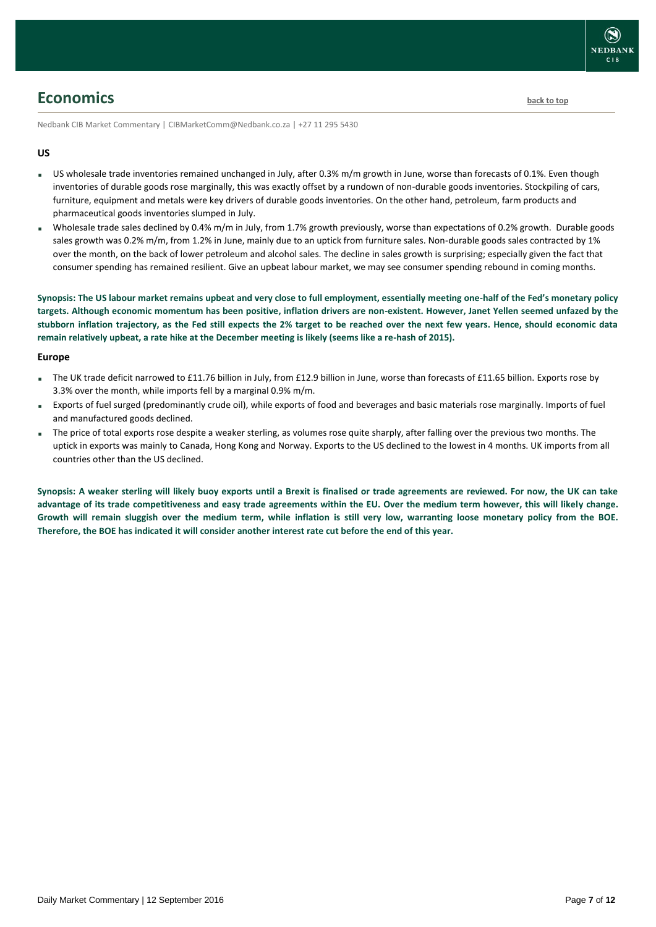

### <span id="page-6-0"></span>**Economics [back to top](#page-0-0)**

Nedbank CIB Market Commentary | CIBMarketComm@Nedbank.co.za | +27 11 295 5430

#### **US**

- US wholesale trade inventories remained unchanged in July, after 0.3% m/m growth in June, worse than forecasts of 0.1%. Even though inventories of durable goods rose marginally, this was exactly offset by a rundown of non-durable goods inventories. Stockpiling of cars, furniture, equipment and metals were key drivers of durable goods inventories. On the other hand, petroleum, farm products and pharmaceutical goods inventories slumped in July.
- Wholesale trade sales declined by 0.4% m/m in July, from 1.7% growth previously, worse than expectations of 0.2% growth. Durable goods sales growth was 0.2% m/m, from 1.2% in June, mainly due to an uptick from furniture sales. Non-durable goods sales contracted by 1% over the month, on the back of lower petroleum and alcohol sales. The decline in sales growth is surprising; especially given the fact that consumer spending has remained resilient. Give an upbeat labour market, we may see consumer spending rebound in coming months.

**Synopsis: The US labour market remains upbeat and very close to full employment, essentially meeting one-half of the Fed's monetary policy targets. Although economic momentum has been positive, inflation drivers are non-existent. However, Janet Yellen seemed unfazed by the stubborn inflation trajectory, as the Fed still expects the 2% target to be reached over the next few years. Hence, should economic data remain relatively upbeat, a rate hike at the December meeting is likely (seems like a re-hash of 2015).**

#### **Europe**

- The UK trade deficit narrowed to £11.76 billion in July, from £12.9 billion in June, worse than forecasts of £11.65 billion. Exports rose by 3.3% over the month, while imports fell by a marginal 0.9% m/m.
- Exports of fuel surged (predominantly crude oil), while exports of food and beverages and basic materials rose marginally. Imports of fuel and manufactured goods declined.
- The price of total exports rose despite a weaker sterling, as volumes rose quite sharply, after falling over the previous two months. The uptick in exports was mainly to Canada, Hong Kong and Norway. Exports to the US declined to the lowest in 4 months. UK imports from all countries other than the US declined.

**Synopsis: A weaker sterling will likely buoy exports until a Brexit is finalised or trade agreements are reviewed. For now, the UK can take advantage of its trade competitiveness and easy trade agreements within the EU. Over the medium term however, this will likely change. Growth will remain sluggish over the medium term, while inflation is still very low, warranting loose monetary policy from the BOE. Therefore, the BOE has indicated it will consider another interest rate cut before the end of this year.**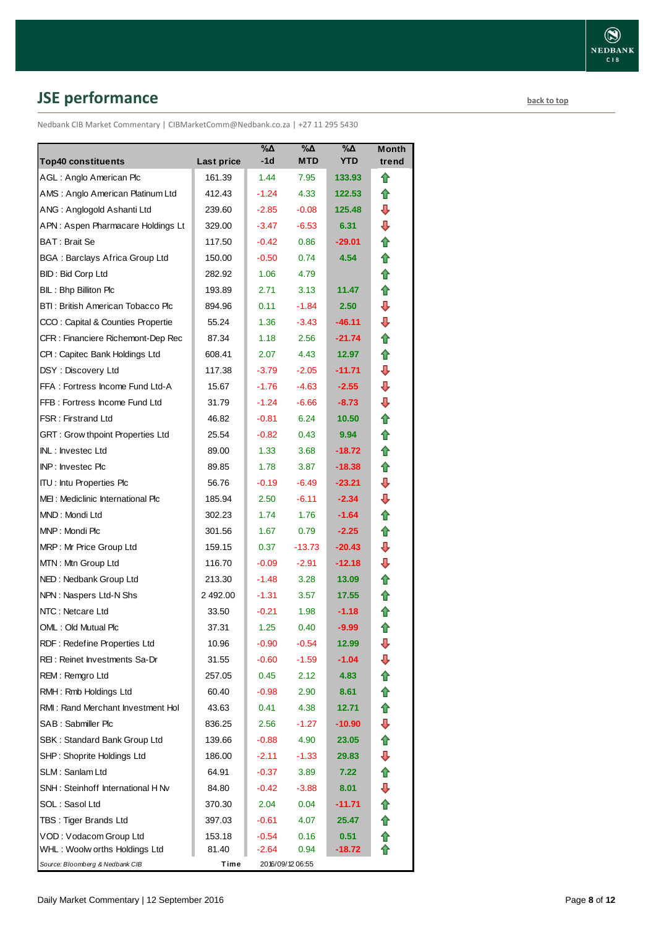# <span id="page-7-0"></span>**JSE performance [back to top](#page-0-0)**

Nedbank CIB Market Commentary | CIBMarketComm@Nedbank.co.za | +27 11 295 5430

| <b>Top40 constituents</b>             | Last price | $\%$ $\Delta$<br>$-1d$ | %Δ<br><b>MTD</b> | %Δ<br><b>YTD</b> | Month<br>trend |
|---------------------------------------|------------|------------------------|------------------|------------------|----------------|
| AGL: Anglo American Plc               | 161.39     | 1.44                   | 7.95             | 133.93           | ✿              |
| AMS: Anglo American Platinum Ltd      | 412.43     | $-1.24$                | 4.33             | 122.53           | ⇑              |
| ANG: Anglogold Ashanti Ltd            | 239.60     | $-2.85$                | $-0.08$          | 125.48           | ⊕              |
| APN: Aspen Pharmacare Holdings Lt     | 329.00     | $-3.47$                | $-6.53$          | 6.31             | ⊕              |
| BAT: Brait Se                         | 117.50     | $-0.42$                | 0.86             | $-29.01$         | ✿              |
| <b>BGA: Barclays Africa Group Ltd</b> | 150.00     | $-0.50$                | 0.74             | 4.54             | ⇑              |
| <b>BID: Bid Corp Ltd</b>              | 282.92     | 1.06                   | 4.79             |                  | ✿              |
| BIL: Bhp Billiton Plc                 | 193.89     | 2.71                   | 3.13             | 11.47            | ⇑              |
| BTI: British American Tobacco Plc     | 894.96     | 0.11                   | $-1.84$          | 2.50             | ⇩              |
| CCO: Capital & Counties Propertie     | 55.24      | 1.36                   | $-3.43$          | $-46.11$         | ⇩              |
| CFR : Financiere Richemont-Dep Rec    | 87.34      | 1.18                   | 2.56             | $-21.74$         | ⇑              |
| CPI: Capitec Bank Holdings Ltd        | 608.41     | 2.07                   | 4.43             | 12.97            | ⇑              |
| DSY: Discovery Ltd                    | 117.38     | $-3.79$                | $-2.05$          | $-11.71$         | ⇩              |
| FFA: Fortress Income Fund Ltd-A       | 15.67      | $-1.76$                | $-4.63$          | $-2.55$          | ⇩              |
| FFB: Fortress Income Fund Ltd         | 31.79      | $-1.24$                | $-6.66$          | $-8.73$          | ⊕              |
| <b>FSR: Firstrand Ltd</b>             | 46.82      | $-0.81$                | 6.24             | 10.50            | ✿              |
| GRT : Grow thpoint Properties Ltd     | 25.54      | $-0.82$                | 0.43             | 9.94             | ⇑              |
| INL: Investec Ltd                     | 89.00      | 1.33                   | 3.68             | -18.72           | ⇑              |
| INP: Investec Plc                     | 89.85      | 1.78                   | 3.87             | $-18.38$         | ⇑              |
| <b>ITU: Intu Properties Plc</b>       | 56.76      | $-0.19$                | $-6.49$          | $-23.21$         | ⇩              |
| MEI: Mediclinic International Plc     | 185.94     | 2.50                   | $-6.11$          | $-2.34$          | ⇩              |
| MND: Mondi Ltd                        | 302.23     | 1.74                   | 1.76             | $-1.64$          | ✿              |
| MNP: Mondi Plc                        | 301.56     | 1.67                   | 0.79             | $-2.25$          | ✿              |
| MRP: Mr Price Group Ltd               | 159.15     | 0.37                   | $-13.73$         | $-20.43$         | ⇩              |
| MTN: Mtn Group Ltd                    | 116.70     | $-0.09$                | $-2.91$          | $-12.18$         | ⊕              |
| NED: Nedbank Group Ltd                | 213.30     | $-1.48$                | 3.28             | 13.09            | ⇑              |
| NPN: Naspers Ltd-N Shs                | 2492.00    | $-1.31$                | 3.57             | 17.55            | ⇑              |
| NTC: Netcare Ltd                      | 33.50      | $-0.21$                | 1.98             | $-1.18$          | ⇧              |
| OML: Old Mutual Plc                   | 37.31      | 1.25                   | 0.40             | $-9.99$          | ⇑              |
| RDF: Redefine Properties Ltd          | 10.96      | $-0.90$                | $-0.54$          | 12.99            | ⇩              |
| REI: Reinet Investments Sa-Dr         | 31.55      | $-0.60$                | $-1.59$          | $-1.04$          | ⇩              |
| REM: Remgro Ltd                       | 257.05     | 0.45                   | 2.12             | 4.83             | ✿              |
| RMH: Rmb Holdings Ltd                 | 60.40      | $-0.98$                | 2.90             | 8.61             | ✿              |
| RMI: Rand Merchant Investment Hol     | 43.63      | 0.41                   | 4.38             | 12.71            | ✿              |
| SAB : Sabmiller Plc                   | 836.25     | 2.56                   | $-1.27$          | $-10.90$         | ⊕              |
| SBK: Standard Bank Group Ltd          | 139.66     | $-0.88$                | 4.90             | 23.05            | ⇑              |
| SHP: Shoprite Holdings Ltd            | 186.00     | $-2.11$                | $-1.33$          | 29.83            | ⇩              |
| SLM: Sanlam Ltd                       | 64.91      | $-0.37$                | 3.89             | 7.22             | ⇑              |
| SNH: Steinhoff International H Nv     | 84.80      | $-0.42$                | $-3.88$          | 8.01             | ⇩              |
| SOL: Sasol Ltd                        | 370.30     | 2.04                   | 0.04             | -11.71           | 合              |
| TBS: Tiger Brands Ltd                 | 397.03     | $-0.61$                | 4.07             | 25.47            | 合              |
| VOD: Vodacom Group Ltd                | 153.18     | $-0.54$                | 0.16             | 0.51             | ✿              |
| WHL: Woolw orths Holdings Ltd         | 81.40      | $-2.64$                | 0.94             | -18.72           |                |
| Source: Bloomberg & Nedbank CIB       | Time       |                        | 2016/09/12 06:55 |                  |                |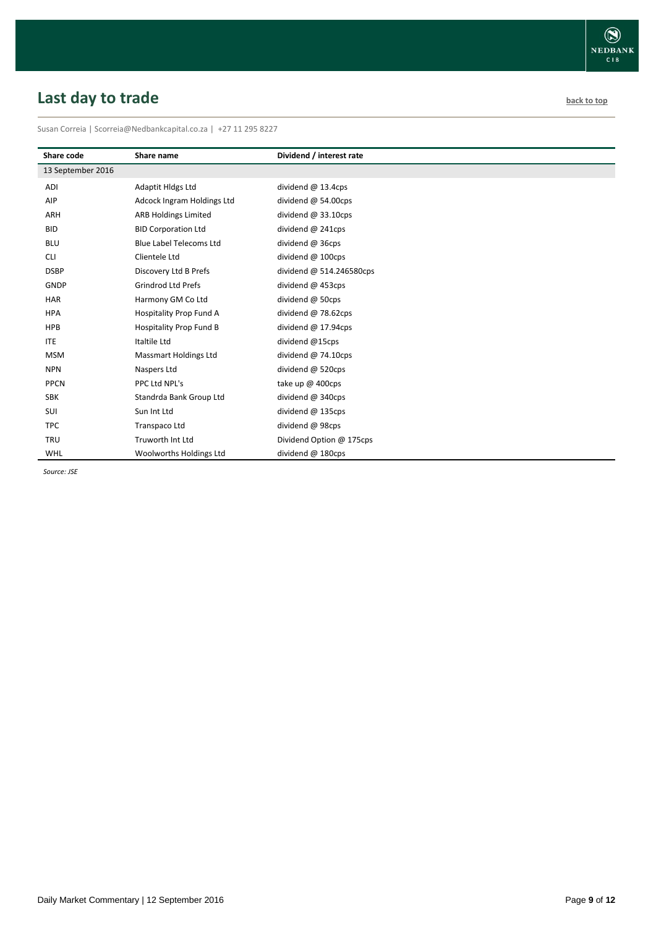# <span id="page-8-0"></span>**Last day to trade back to the contract of the contract of the contract of the contract of the contract of the contract of the contract of the contract of the contract of the contract of the contract of the contract of t**

Susan Correia | [Scorreia@Nedbankcapital.co.za](mailto:Scorreia@Nedbankcapital.co.za) | +27 11 295 8227

| Share code        | Share name                     | Dividend / interest rate     |
|-------------------|--------------------------------|------------------------------|
| 13 September 2016 |                                |                              |
| ADI               | Adaptit Hldgs Ltd              | dividend $@$ 13.4cps         |
| AIP               | Adcock Ingram Holdings Ltd     | dividend $@$ 54.00cps        |
| ARH               | <b>ARB Holdings Limited</b>    | dividend $@33.10 \text{cps}$ |
| <b>BID</b>        | <b>BID Corporation Ltd</b>     | dividend @ 241cps            |
| <b>BLU</b>        | <b>Blue Label Telecoms Ltd</b> | dividend @ 36cps             |
| <b>CLI</b>        | Clientele Ltd                  | dividend @ 100cps            |
| <b>DSBP</b>       | Discovery Ltd B Prefs          | dividend @ 514.246580cps     |
| <b>GNDP</b>       | <b>Grindrod Ltd Prefs</b>      | dividend @ 453cps            |
| HAR               | Harmony GM Co Ltd              | dividend @ 50cps             |
| <b>HPA</b>        | Hospitality Prop Fund A        | dividend $@$ 78.62cps        |
| <b>HPB</b>        | <b>Hospitality Prop Fund B</b> | dividend $@$ 17.94cps        |
| <b>ITE</b>        | Italtile Ltd                   | dividend @15cps              |
| <b>MSM</b>        | <b>Massmart Holdings Ltd</b>   | dividend $@$ 74.10cps        |
| <b>NPN</b>        | Naspers Ltd                    | dividend @ 520cps            |
| <b>PPCN</b>       | PPC Ltd NPL's                  | take up $\omega$ 400cps      |
| <b>SBK</b>        | Standrda Bank Group Ltd        | dividend @ 340cps            |
| SUI               | Sun Int Ltd                    | dividend $@$ 135cps          |
| <b>TPC</b>        | Transpaco Ltd                  | dividend @ 98cps             |
| <b>TRU</b>        | Truworth Int Ltd               | Dividend Option @ 175cps     |
| WHL               | Woolworths Holdings Ltd        | dividend @ 180cps            |

*Source: JSE*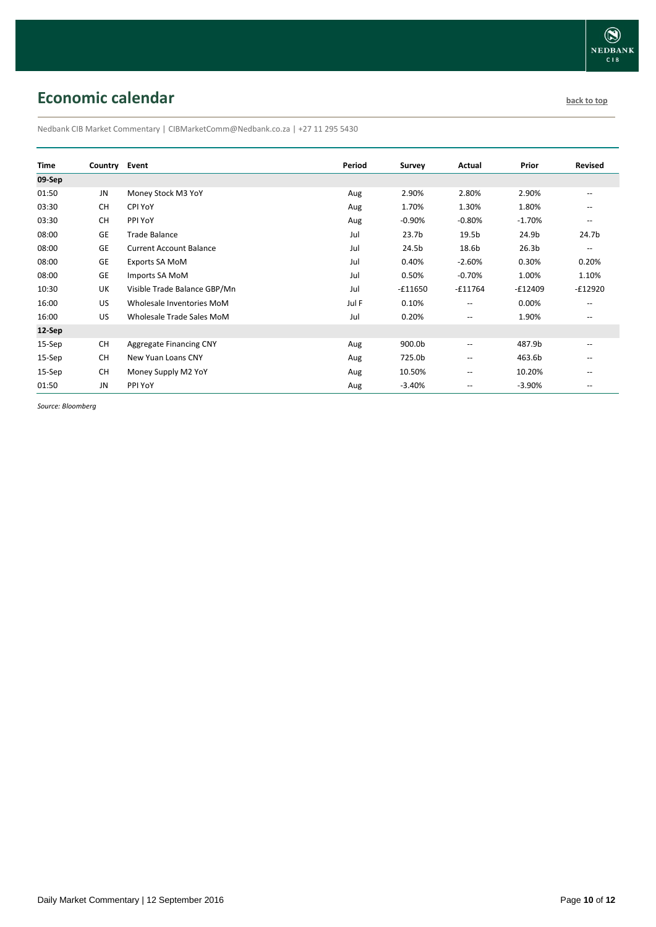# <span id="page-9-0"></span>**Economic calendar [back to top](#page-0-0) back to top**

Nedbank CIB Market Commentary | CIBMarketComm@Nedbank.co.za | +27 11 295 5430

| <b>Time</b> | Country Event |                                | Period | <b>Survey</b>     | Actual                   | Prior             | <b>Revised</b>                                      |
|-------------|---------------|--------------------------------|--------|-------------------|--------------------------|-------------------|-----------------------------------------------------|
| 09-Sep      |               |                                |        |                   |                          |                   |                                                     |
| 01:50       | JN            | Money Stock M3 YoY             | Aug    | 2.90%             | 2.80%                    | 2.90%             | $-$                                                 |
| 03:30       | <b>CH</b>     | CPI YoY                        | Aug    | 1.70%             | 1.30%                    | 1.80%             | $\qquad \qquad -$                                   |
| 03:30       | <b>CH</b>     | PPI YoY                        | Aug    | $-0.90%$          | $-0.80%$                 | $-1.70%$          | $\hspace{0.05cm} -\hspace{0.05cm} -\hspace{0.05cm}$ |
| 08:00       | GE            | Trade Balance                  | Jul    | 23.7 <sub>b</sub> | 19.5b                    | 24.9b             | 24.7b                                               |
| 08:00       | GE            | <b>Current Account Balance</b> | Jul    | 24.5b             | 18.6b                    | 26.3 <sub>b</sub> | $\overline{\phantom{m}}$                            |
| 08:00       | GE            | Exports SA MoM                 | Jul    | 0.40%             | $-2.60%$                 | 0.30%             | 0.20%                                               |
| 08:00       | GE            | Imports SA MoM                 | Jul    | 0.50%             | $-0.70%$                 | 1.00%             | 1.10%                                               |
| 10:30       | UK            | Visible Trade Balance GBP/Mn   | Jul    | $-£11650$         | $-£11764$                | $-£12409$         | $-£12920$                                           |
| 16:00       | US            | Wholesale Inventories MoM      | Jul F  | 0.10%             | $\overline{\phantom{a}}$ | 0.00%             | $\qquad \qquad -$                                   |
| 16:00       | US            | Wholesale Trade Sales MoM      | Jul    | 0.20%             | $\overline{\phantom{a}}$ | 1.90%             | $-$                                                 |
| 12-Sep      |               |                                |        |                   |                          |                   |                                                     |
| 15-Sep      | <b>CH</b>     | Aggregate Financing CNY        | Aug    | 900.0b            | $\overline{a}$           | 487.9b            | $\overline{\phantom{a}}$                            |
| 15-Sep      | <b>CH</b>     | New Yuan Loans CNY             | Aug    | 725.0b            | $-$                      | 463.6b            | $\overline{\phantom{a}}$                            |
| $15-$ Sep   | <b>CH</b>     | Money Supply M2 YoY            | Aug    | 10.50%            | --                       | 10.20%            | $\qquad \qquad -$                                   |
| 01:50       | JN            | PPI YoY                        | Aug    | $-3.40%$          | --                       | $-3.90%$          | $\qquad \qquad -$                                   |

*Source: Bloomberg*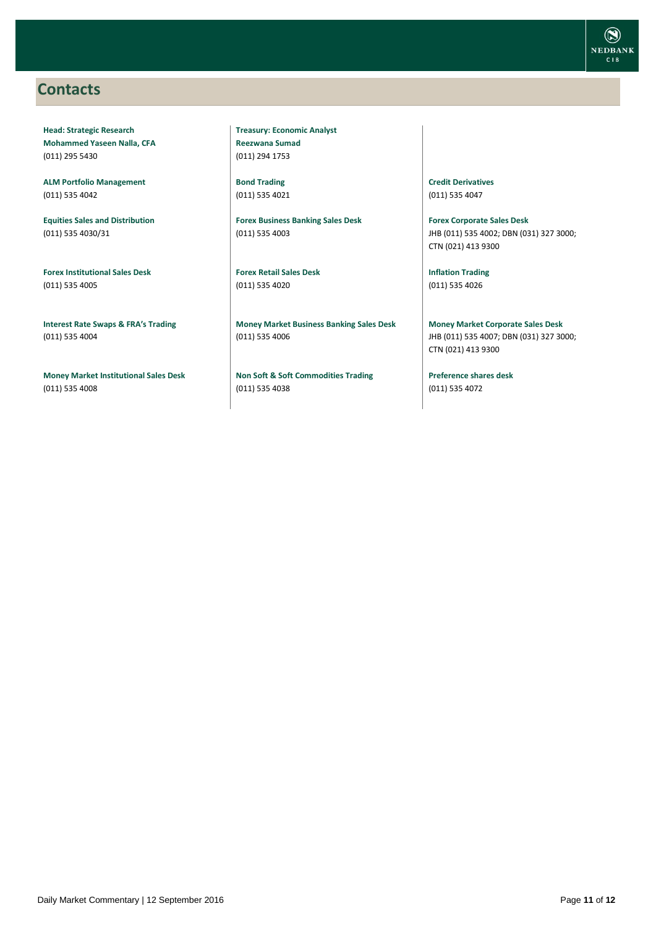### <span id="page-10-0"></span>**Contacts**

**Head: Strategic Research Mohammed Yaseen Nalla, CFA** (011) 295 5430

**ALM Portfolio Management** (011) 535 4042

**Equities Sales and Distribution** (011) 535 4030/31

**Forex Institutional Sales Desk** (011) 535 4005

**Interest Rate Swaps & FRA's Trading** (011) 535 4004

**Money Market Institutional Sales Desk** (011) 535 4008

**Treasury: Economic Analyst Reezwana Sumad** (011) 294 1753

**Bond Trading** (011) 535 4021

**Forex Business Banking Sales Desk** (011) 535 4003

**Forex Retail Sales Desk** (011) 535 4020

**Money Market Business Banking Sales Desk** (011) 535 4006

**Non Soft & Soft Commodities Trading** (011) 535 4038

**Credit Derivatives**  (011) 535 4047

**Forex Corporate Sales Desk** JHB (011) 535 4002; DBN (031) 327 3000; CTN (021) 413 9300

**Inflation Trading** (011) 535 4026

**Money Market Corporate Sales Desk** JHB (011) 535 4007; DBN (031) 327 3000; CTN (021) 413 9300

**Preference shares desk** (011) 535 4072